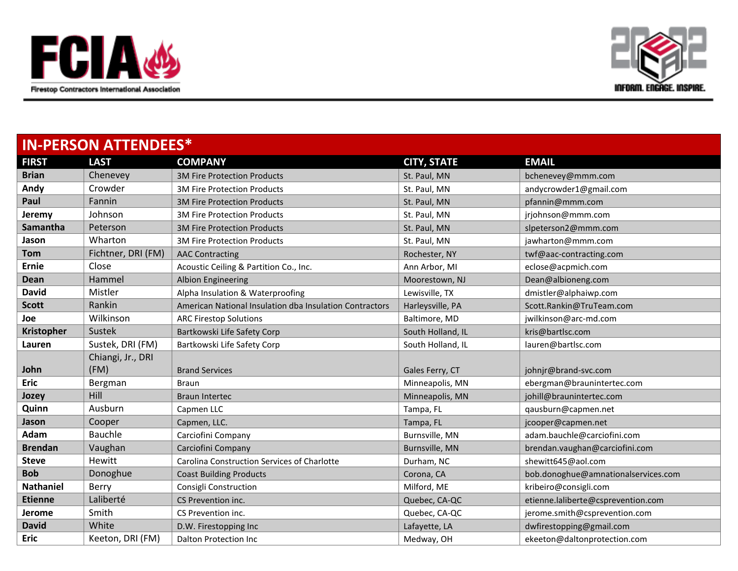



| <b>IN-PERSON ATTENDEES*</b> |                    |                                                         |                    |                                     |
|-----------------------------|--------------------|---------------------------------------------------------|--------------------|-------------------------------------|
| <b>FIRST</b>                | <b>LAST</b>        | <b>COMPANY</b>                                          | <b>CITY, STATE</b> | <b>EMAIL</b>                        |
| <b>Brian</b>                | Chenevey           | <b>3M Fire Protection Products</b>                      | St. Paul, MN       | bchenevey@mmm.com                   |
| Andy                        | Crowder            | <b>3M Fire Protection Products</b>                      | St. Paul, MN       | andycrowder1@gmail.com              |
| Paul                        | Fannin             | <b>3M Fire Protection Products</b>                      | St. Paul, MN       | pfannin@mmm.com                     |
| Jeremy                      | Johnson            | <b>3M Fire Protection Products</b>                      | St. Paul, MN       | jrjohnson@mmm.com                   |
| Samantha                    | Peterson           | <b>3M Fire Protection Products</b>                      | St. Paul, MN       | slpeterson2@mmm.com                 |
| Jason                       | Wharton            | <b>3M Fire Protection Products</b>                      | St. Paul, MN       | jawharton@mmm.com                   |
| <b>Tom</b>                  | Fichtner, DRI (FM) | <b>AAC Contracting</b>                                  | Rochester, NY      | twf@aac-contracting.com             |
| <b>Ernie</b>                | Close              | Acoustic Ceiling & Partition Co., Inc.                  | Ann Arbor, MI      | eclose@acpmich.com                  |
| <b>Dean</b>                 | Hammel             | <b>Albion Engineering</b>                               | Moorestown, NJ     | Dean@albioneng.com                  |
| <b>David</b>                | Mistler            | Alpha Insulation & Waterproofing                        | Lewisville, TX     | dmistler@alphaiwp.com               |
| <b>Scott</b>                | Rankin             | American National Insulation dba Insulation Contractors | Harleysville, PA   | Scott.Rankin@TruTeam.com            |
| Joe                         | Wilkinson          | <b>ARC Firestop Solutions</b>                           | Baltimore, MD      | jwilkinson@arc-md.com               |
| Kristopher                  | Sustek             | Bartkowski Life Safety Corp                             | South Holland, IL  | kris@bartlsc.com                    |
| Lauren                      | Sustek, DRI (FM)   | Bartkowski Life Safety Corp                             | South Holland, IL  | lauren@bartlsc.com                  |
|                             | Chiangi, Jr., DRI  |                                                         |                    |                                     |
| John                        | (FM)               | <b>Brand Services</b>                                   | Gales Ferry, CT    | johnjr@brand-svc.com                |
| <b>Eric</b>                 | Bergman            | <b>Braun</b>                                            | Minneapolis, MN    | ebergman@braunintertec.com          |
| Jozey                       | Hill               | <b>Braun Intertec</b>                                   | Minneapolis, MN    | johill@braunintertec.com            |
| Quinn                       | Ausburn            | Capmen LLC                                              | Tampa, FL          | qausburn@capmen.net                 |
| Jason                       | Cooper             | Capmen, LLC.                                            | Tampa, FL          | jcooper@capmen.net                  |
| Adam                        | <b>Bauchle</b>     | Carciofini Company                                      | Burnsville, MN     | adam.bauchle@carciofini.com         |
| <b>Brendan</b>              | Vaughan            | Carciofini Company                                      | Burnsville, MN     | brendan.vaughan@carciofini.com      |
| <b>Steve</b>                | <b>Hewitt</b>      | Carolina Construction Services of Charlotte             | Durham, NC         | shewitt645@aol.com                  |
| <b>Bob</b>                  | Donoghue           | <b>Coast Building Products</b>                          | Corona, CA         | bob.donoghue@amnationalservices.com |
| <b>Nathaniel</b>            | <b>Berry</b>       | Consigli Construction                                   | Milford, ME        | kribeiro@consigli.com               |
| <b>Etienne</b>              | Laliberté          | CS Prevention inc.                                      | Quebec, CA-QC      | etienne.laliberte@csprevention.com  |
| Jerome                      | Smith              | CS Prevention inc.                                      | Quebec, CA-QC      | jerome.smith@csprevention.com       |
| <b>David</b>                | White              | D.W. Firestopping Inc.                                  | Lafayette, LA      | dwfirestopping@gmail.com            |
| <b>Eric</b>                 | Keeton, DRI (FM)   | Dalton Protection Inc                                   | Medway, OH         | ekeeton@daltonprotection.com        |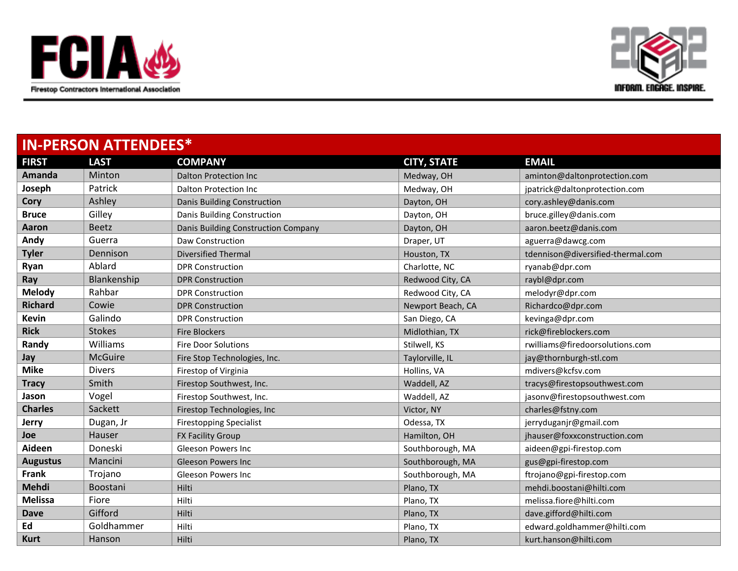



| <b>IN-PERSON ATTENDEES*</b> |                |                                     |                    |                                   |
|-----------------------------|----------------|-------------------------------------|--------------------|-----------------------------------|
| <b>FIRST</b>                | <b>LAST</b>    | <b>COMPANY</b>                      | <b>CITY, STATE</b> | <b>EMAIL</b>                      |
| Amanda                      | Minton         | <b>Dalton Protection Inc</b>        | Medway, OH         | aminton@daltonprotection.com      |
| Joseph                      | Patrick        | Dalton Protection Inc               | Medway, OH         | jpatrick@daltonprotection.com     |
| Cory                        | Ashley         | Danis Building Construction         | Dayton, OH         | cory.ashley@danis.com             |
| <b>Bruce</b>                | Gilley         | Danis Building Construction         | Dayton, OH         | bruce.gilley@danis.com            |
| Aaron                       | <b>Beetz</b>   | Danis Building Construction Company | Dayton, OH         | aaron.beetz@danis.com             |
| Andy                        | Guerra         | Daw Construction                    | Draper, UT         | aguerra@dawcg.com                 |
| <b>Tyler</b>                | Dennison       | <b>Diversified Thermal</b>          | Houston, TX        | tdennison@diversified-thermal.com |
| Ryan                        | Ablard         | <b>DPR Construction</b>             | Charlotte, NC      | ryanab@dpr.com                    |
| Ray                         | Blankenship    | <b>DPR Construction</b>             | Redwood City, CA   | raybl@dpr.com                     |
| <b>Melody</b>               | Rahbar         | <b>DPR Construction</b>             | Redwood City, CA   | melodyr@dpr.com                   |
| <b>Richard</b>              | Cowie          | <b>DPR Construction</b>             | Newport Beach, CA  | Richardco@dpr.com                 |
| <b>Kevin</b>                | Galindo        | <b>DPR</b> Construction             | San Diego, CA      | kevinga@dpr.com                   |
| <b>Rick</b>                 | <b>Stokes</b>  | <b>Fire Blockers</b>                | Midlothian, TX     | rick@fireblockers.com             |
| Randy                       | Williams       | <b>Fire Door Solutions</b>          | Stilwell, KS       | rwilliams@firedoorsolutions.com   |
| Jay                         | <b>McGuire</b> | Fire Stop Technologies, Inc.        | Taylorville, IL    | jay@thornburgh-stl.com            |
| <b>Mike</b>                 | <b>Divers</b>  | Firestop of Virginia                | Hollins, VA        | mdivers@kcfsv.com                 |
| <b>Tracy</b>                | Smith          | Firestop Southwest, Inc.            | Waddell, AZ        | tracys@firestopsouthwest.com      |
| Jason                       | Vogel          | Firestop Southwest, Inc.            | Waddell, AZ        | jasonv@firestopsouthwest.com      |
| <b>Charles</b>              | Sackett        | Firestop Technologies, Inc          | Victor, NY         | charles@fstny.com                 |
| Jerry                       | Dugan, Jr      | <b>Firestopping Specialist</b>      | Odessa, TX         | jerryduganjr@gmail.com            |
| <b>Joe</b>                  | Hauser         | FX Facility Group                   | Hamilton, OH       | jhauser@foxxconstruction.com      |
| Aideen                      | Doneski        | <b>Gleeson Powers Inc</b>           | Southborough, MA   | aideen@gpi-firestop.com           |
| <b>Augustus</b>             | Mancini        | <b>Gleeson Powers Inc</b>           | Southborough, MA   | gus@gpi-firestop.com              |
| <b>Frank</b>                | Trojano        | <b>Gleeson Powers Inc</b>           | Southborough, MA   | ftrojano@gpi-firestop.com         |
| Mehdi                       | Boostani       | Hilti                               | Plano, TX          | mehdi.boostani@hilti.com          |
| <b>Melissa</b>              | Fiore          | Hilti                               | Plano, TX          | melissa.fiore@hilti.com           |
| <b>Dave</b>                 | Gifford        | Hilti                               | Plano, TX          | dave.gifford@hilti.com            |
| Ed                          | Goldhammer     | Hilti                               | Plano, TX          | edward.goldhammer@hilti.com       |
| <b>Kurt</b>                 | Hanson         | Hilti                               | Plano, TX          | kurt.hanson@hilti.com             |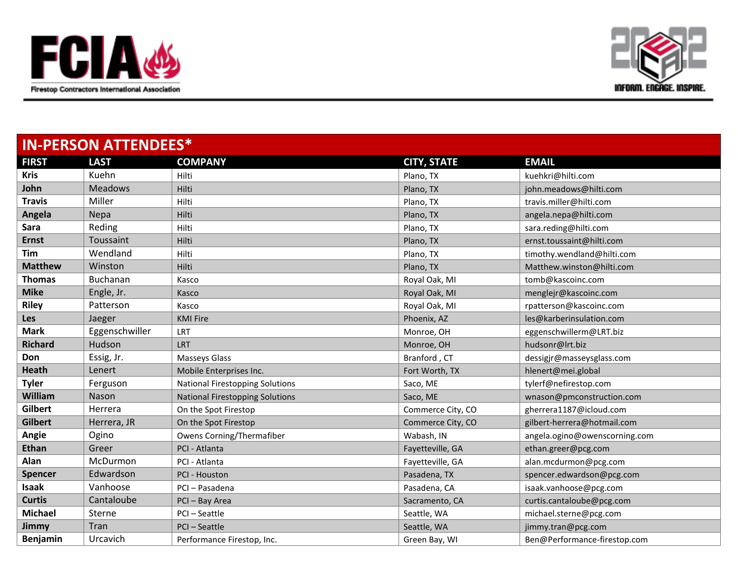



| <b>IN-PERSON ATTENDEES*</b> |                 |                                        |                    |                               |
|-----------------------------|-----------------|----------------------------------------|--------------------|-------------------------------|
| <b>FIRST</b>                | <b>LAST</b>     | <b>COMPANY</b>                         | <b>CITY, STATE</b> | <b>EMAIL</b>                  |
| <b>Kris</b>                 | Kuehn           | Hilti                                  | Plano, TX          | kuehkri@hilti.com             |
| John                        | <b>Meadows</b>  | Hilti                                  | Plano, TX          | john.meadows@hilti.com        |
| <b>Travis</b>               | Miller          | Hilti                                  | Plano, TX          | travis.miller@hilti.com       |
| Angela                      | Nepa            | Hilti                                  | Plano, TX          | angela.nepa@hilti.com         |
| Sara                        | Reding          | Hilti                                  | Plano, TX          | sara.reding@hilti.com         |
| <b>Ernst</b>                | Toussaint       | Hilti                                  | Plano, TX          | ernst.toussaint@hilti.com     |
| Tim                         | Wendland        | Hilti                                  | Plano, TX          | timothy.wendland@hilti.com    |
| <b>Matthew</b>              | Winston         | Hilti                                  | Plano, TX          | Matthew.winston@hilti.com     |
| <b>Thomas</b>               | <b>Buchanan</b> | Kasco                                  | Royal Oak, MI      | tomb@kascoinc.com             |
| <b>Mike</b>                 | Engle, Jr.      | Kasco                                  | Royal Oak, MI      | menglejr@kascoinc.com         |
| <b>Riley</b>                | Patterson       | Kasco                                  | Royal Oak, MI      | rpatterson@kascoinc.com       |
| <b>Les</b>                  | Jaeger          | <b>KMI Fire</b>                        | Phoenix, AZ        | les@karberinsulation.com      |
| <b>Mark</b>                 | Eggenschwiller  | LRT                                    | Monroe, OH         | eggenschwillerm@LRT.biz       |
| <b>Richard</b>              | Hudson          | LRT                                    | Monroe, OH         | hudsonr@lrt.biz               |
| Don                         | Essig, Jr.      | Masseys Glass                          | Branford, CT       | dessigjr@masseysglass.com     |
| <b>Heath</b>                | Lenert          | Mobile Enterprises Inc.                | Fort Worth, TX     | hlenert@mei.global            |
| <b>Tyler</b>                | Ferguson        | <b>National Firestopping Solutions</b> | Saco, ME           | tylerf@nefirestop.com         |
| William                     | Nason           | <b>National Firestopping Solutions</b> | Saco, ME           | wnason@pmconstruction.com     |
| Gilbert                     | Herrera         | On the Spot Firestop                   | Commerce City, CO  | gherrera1187@icloud.com       |
| <b>Gilbert</b>              | Herrera, JR     | On the Spot Firestop                   | Commerce City, CO  | gilbert-herrera@hotmail.com   |
| Angie                       | Ogino           | Owens Corning/Thermafiber              | Wabash, IN         | angela.ogino@owenscorning.com |
| <b>Ethan</b>                | Greer           | PCI - Atlanta                          | Fayetteville, GA   | ethan.greer@pcg.com           |
| Alan                        | McDurmon        | PCI - Atlanta                          | Fayetteville, GA   | alan.mcdurmon@pcg.com         |
| <b>Spencer</b>              | Edwardson       | PCI - Houston                          | Pasadena, TX       | spencer.edwardson@pcg.com     |
| <b>Isaak</b>                | Vanhoose        | PCI-Pasadena                           | Pasadena, CA       | isaak.vanhoose@pcg.com        |
| <b>Curtis</b>               | Cantaloube      | PCI-Bay Area                           | Sacramento, CA     | curtis.cantaloube@pcg.com     |
| <b>Michael</b>              | Sterne          | PCI-Seattle                            | Seattle, WA        | michael.sterne@pcg.com        |
| Jimmy                       | Tran            | PCI-Seattle                            | Seattle, WA        | jimmy.tran@pcg.com            |
| Benjamin                    | Urcavich        | Performance Firestop, Inc.             | Green Bay, WI      | Ben@Performance-firestop.com  |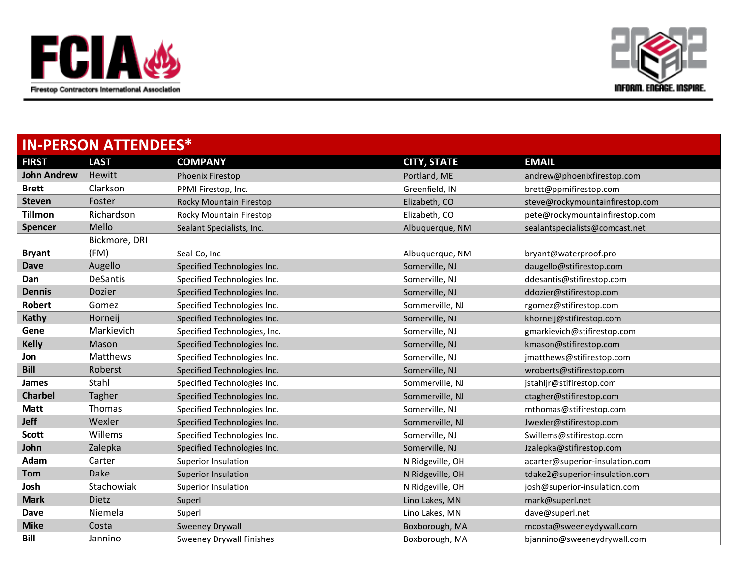



| <b>IN-PERSON ATTENDEES*</b> |                 |                                 |                    |                                 |
|-----------------------------|-----------------|---------------------------------|--------------------|---------------------------------|
| <b>FIRST</b>                | <b>LAST</b>     | <b>COMPANY</b>                  | <b>CITY, STATE</b> | <b>EMAIL</b>                    |
| <b>John Andrew</b>          | Hewitt          | Phoenix Firestop                | Portland, ME       | andrew@phoenixfirestop.com      |
| <b>Brett</b>                | Clarkson        | PPMI Firestop, Inc.             | Greenfield, IN     | brett@ppmifirestop.com          |
| <b>Steven</b>               | Foster          | Rocky Mountain Firestop         | Elizabeth, CO      | steve@rockymountainfirestop.com |
| <b>Tillmon</b>              | Richardson      | Rocky Mountain Firestop         | Elizabeth, CO      | pete@rockymountainfirestop.com  |
| Spencer                     | Mello           | Sealant Specialists, Inc.       | Albuquerque, NM    | sealantspecialists@comcast.net  |
|                             | Bickmore, DRI   |                                 |                    |                                 |
| <b>Bryant</b>               | (FM)            | Seal-Co, Inc                    | Albuquerque, NM    | bryant@waterproof.pro           |
| <b>Dave</b>                 | Augello         | Specified Technologies Inc.     | Somerville, NJ     | daugello@stifirestop.com        |
| Dan                         | <b>DeSantis</b> | Specified Technologies Inc.     | Somerville, NJ     | ddesantis@stifirestop.com       |
| <b>Dennis</b>               | Dozier          | Specified Technologies Inc.     | Somerville, NJ     | ddozier@stifirestop.com         |
| <b>Robert</b>               | Gomez           | Specified Technologies Inc.     | Sommerville, NJ    | rgomez@stifirestop.com          |
| Kathy                       | Horneij         | Specified Technologies Inc.     | Somerville, NJ     | khorneij@stifirestop.com        |
| Gene                        | Markievich      | Specified Technologies, Inc.    | Somerville, NJ     | gmarkievich@stifirestop.com     |
| <b>Kelly</b>                | Mason           | Specified Technologies Inc.     | Somerville, NJ     | kmason@stifirestop.com          |
| Jon                         | <b>Matthews</b> | Specified Technologies Inc.     | Somerville, NJ     | jmatthews@stifirestop.com       |
| <b>Bill</b>                 | Roberst         | Specified Technologies Inc.     | Somerville, NJ     | wroberts@stifirestop.com        |
| James                       | Stahl           | Specified Technologies Inc.     | Sommerville, NJ    | jstahljr@stifirestop.com        |
| <b>Charbel</b>              | Tagher          | Specified Technologies Inc.     | Sommerville, NJ    | ctagher@stifirestop.com         |
| <b>Matt</b>                 | <b>Thomas</b>   | Specified Technologies Inc.     | Somerville, NJ     | mthomas@stifirestop.com         |
| <b>Jeff</b>                 | Wexler          | Specified Technologies Inc.     | Sommerville, NJ    | Jwexler@stifirestop.com         |
| <b>Scott</b>                | Willems         | Specified Technologies Inc.     | Somerville, NJ     | Swillems@stifirestop.com        |
| John                        | Zalepka         | Specified Technologies Inc.     | Somerville, NJ     | Jzalepka@stifirestop.com        |
| Adam                        | Carter          | Superior Insulation             | N Ridgeville, OH   | acarter@superior-insulation.com |
| <b>Tom</b>                  | Dake            | <b>Superior Insulation</b>      | N Ridgeville, OH   | tdake2@superior-insulation.com  |
| Josh                        | Stachowiak      | Superior Insulation             | N Ridgeville, OH   | josh@superior-insulation.com    |
| <b>Mark</b>                 | <b>Dietz</b>    | Superl                          | Lino Lakes, MN     | mark@superl.net                 |
| Dave                        | Niemela         | Superl                          | Lino Lakes, MN     | dave@superl.net                 |
| <b>Mike</b>                 | Costa           | <b>Sweeney Drywall</b>          | Boxborough, MA     | mcosta@sweeneydywall.com        |
| <b>Bill</b>                 | Jannino         | <b>Sweeney Drywall Finishes</b> | Boxborough, MA     | bjannino@sweeneydrywall.com     |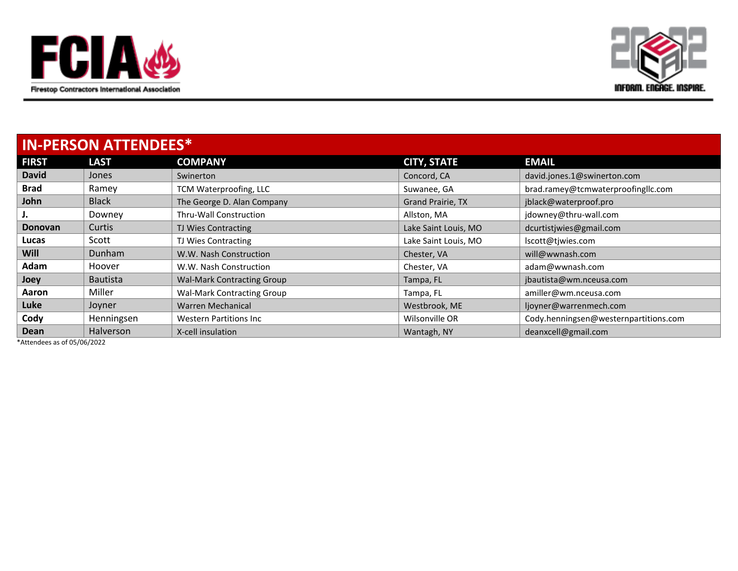



| <b>IN-PERSON ATTENDEES*</b> |                  |                                   |                          |                                       |
|-----------------------------|------------------|-----------------------------------|--------------------------|---------------------------------------|
| <b>FIRST</b>                | <b>LAST</b>      | <b>COMPANY</b>                    | <b>CITY, STATE</b>       | <b>EMAIL</b>                          |
| <b>David</b>                | Jones            | Swinerton                         | Concord, CA              | david.jones.1@swinerton.com           |
| <b>Brad</b>                 | Ramey            | TCM Waterproofing, LLC            | Suwanee, GA              | brad.ramey@tcmwaterproofingllc.com    |
| John                        | <b>Black</b>     | The George D. Alan Company        | <b>Grand Prairie, TX</b> | jblack@waterproof.pro                 |
| J.                          | Downey           | <b>Thru-Wall Construction</b>     | Allston, MA              | jdowney@thru-wall.com                 |
| <b>Donovan</b>              | Curtis           | TJ Wies Contracting               | Lake Saint Louis, MO     | dcurtistiwies@gmail.com               |
| Lucas                       | Scott            | TJ Wies Contracting               | Lake Saint Louis, MO     | lscott@tjwies.com                     |
| <b>Will</b>                 | Dunham           | W.W. Nash Construction            | Chester, VA              | will@wwnash.com                       |
| Adam                        | Hoover           | W.W. Nash Construction            | Chester, VA              | adam@wwnash.com                       |
| Joey                        | <b>Bautista</b>  | <b>Wal-Mark Contracting Group</b> | Tampa, FL                | jbautista@wm.nceusa.com               |
| Aaron                       | Miller           | <b>Wal-Mark Contracting Group</b> | Tampa, FL                | amiller@wm.nceusa.com                 |
| Luke                        | Joyner           | Warren Mechanical                 | Westbrook, ME            | ljoyner@warrenmech.com                |
| Cody                        | Henningsen       | <b>Western Partitions Inc.</b>    | Wilsonville OR           | Cody.henningsen@westernpartitions.com |
| <b>Dean</b>                 | <b>Halverson</b> | X-cell insulation                 | Wantagh, NY              | deanxcell@gmail.com                   |

\*Attendees as of 05/06/2022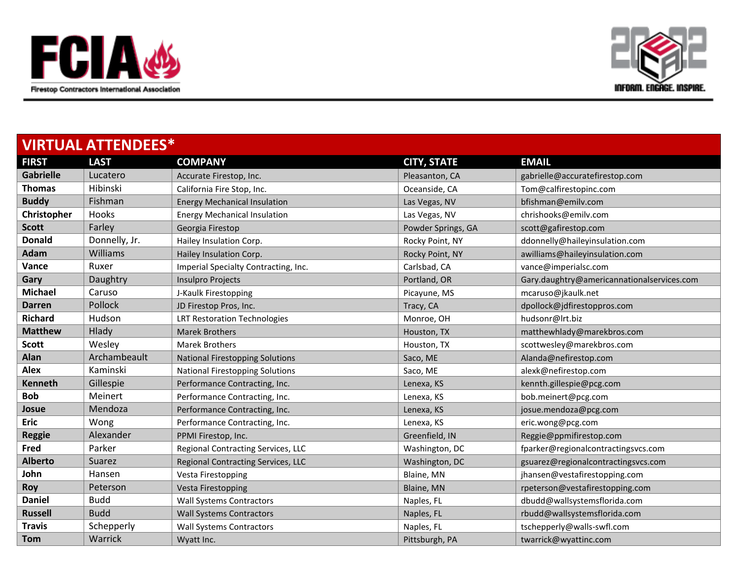



| <b>VIRTUAL ATTENDEES*</b> |               |                                        |                    |                                            |
|---------------------------|---------------|----------------------------------------|--------------------|--------------------------------------------|
| <b>FIRST</b>              | <b>LAST</b>   | <b>COMPANY</b>                         | <b>CITY, STATE</b> | <b>EMAIL</b>                               |
| <b>Gabrielle</b>          | Lucatero      | Accurate Firestop, Inc.                | Pleasanton, CA     | gabrielle@accuratefirestop.com             |
| <b>Thomas</b>             | Hibinski      | California Fire Stop, Inc.             | Oceanside, CA      | Tom@calfirestopinc.com                     |
| <b>Buddy</b>              | Fishman       | <b>Energy Mechanical Insulation</b>    | Las Vegas, NV      | bfishman@emilv.com                         |
| Christopher               | Hooks         | <b>Energy Mechanical Insulation</b>    | Las Vegas, NV      | chrishooks@emilv.com                       |
| <b>Scott</b>              | Farley        | Georgia Firestop                       | Powder Springs, GA | scott@gafirestop.com                       |
| <b>Donald</b>             | Donnelly, Jr. | Hailey Insulation Corp.                | Rocky Point, NY    | ddonnelly@haileyinsulation.com             |
| Adam                      | Williams      | Hailey Insulation Corp.                | Rocky Point, NY    | awilliams@haileyinsulation.com             |
| Vance                     | Ruxer         | Imperial Specialty Contracting, Inc.   | Carlsbad, CA       | vance@imperialsc.com                       |
| Gary                      | Daughtry      | Insulpro Projects                      | Portland, OR       | Gary.daughtry@americannationalservices.com |
| <b>Michael</b>            | Caruso        | J-Kaulk Firestopping                   | Picayune, MS       | mcaruso@jkaulk.net                         |
| <b>Darren</b>             | Pollock       | JD Firestop Pros, Inc.                 | Tracy, CA          | dpollock@jdfirestoppros.com                |
| <b>Richard</b>            | Hudson        | <b>LRT Restoration Technologies</b>    | Monroe, OH         | hudsonr@lrt.biz                            |
| <b>Matthew</b>            | Hlady         | <b>Marek Brothers</b>                  | Houston, TX        | matthewhlady@marekbros.com                 |
| <b>Scott</b>              | Wesley        | <b>Marek Brothers</b>                  | Houston, TX        | scottwesley@marekbros.com                  |
| Alan                      | Archambeault  | <b>National Firestopping Solutions</b> | Saco, ME           | Alanda@nefirestop.com                      |
| <b>Alex</b>               | Kaminski      | <b>National Firestopping Solutions</b> | Saco, ME           | alexk@nefirestop.com                       |
| <b>Kenneth</b>            | Gillespie     | Performance Contracting, Inc.          | Lenexa, KS         | kennth.gillespie@pcg.com                   |
| <b>Bob</b>                | Meinert       | Performance Contracting, Inc.          | Lenexa, KS         | bob.meinert@pcg.com                        |
| Josue                     | Mendoza       | Performance Contracting, Inc.          | Lenexa, KS         | josue.mendoza@pcg.com                      |
| <b>Eric</b>               | Wong          | Performance Contracting, Inc.          | Lenexa, KS         | eric.wong@pcg.com                          |
| <b>Reggie</b>             | Alexander     | PPMI Firestop, Inc.                    | Greenfield, IN     | Reggie@ppmifirestop.com                    |
| Fred                      | Parker        | Regional Contracting Services, LLC     | Washington, DC     | fparker@regionalcontractingsvcs.com        |
| <b>Alberto</b>            | Suarez        | Regional Contracting Services, LLC     | Washington, DC     | gsuarez@regionalcontractingsvcs.com        |
| John                      | Hansen        | Vesta Firestopping                     | Blaine, MN         | jhansen@vestafirestopping.com              |
| Roy                       | Peterson      | <b>Vesta Firestopping</b>              | Blaine, MN         | rpeterson@vestafirestopping.com            |
| <b>Daniel</b>             | <b>Budd</b>   | <b>Wall Systems Contractors</b>        | Naples, FL         | dbudd@wallsystemsflorida.com               |
| <b>Russell</b>            | <b>Budd</b>   | <b>Wall Systems Contractors</b>        | Naples, FL         | rbudd@wallsystemsflorida.com               |
| <b>Travis</b>             | Schepperly    | <b>Wall Systems Contractors</b>        | Naples, FL         | tschepperly@walls-swfl.com                 |
| <b>Tom</b>                | Warrick       | Wyatt Inc.                             | Pittsburgh, PA     | twarrick@wyattinc.com                      |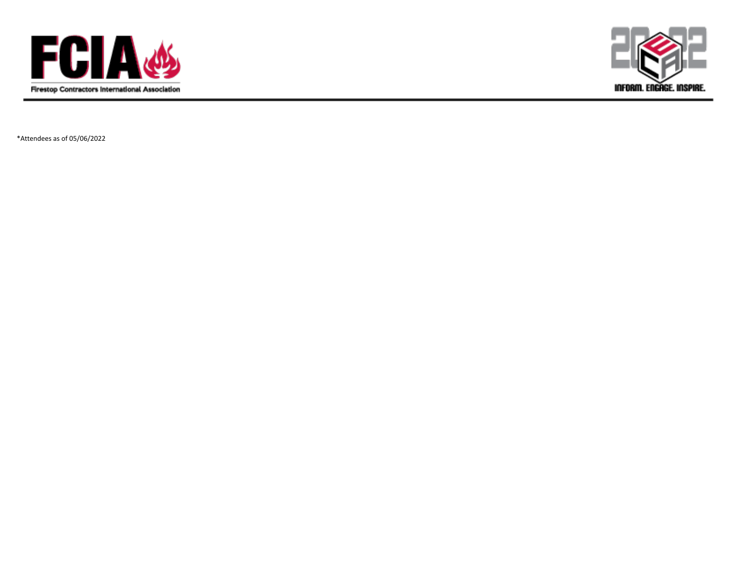



\*Attendees as of 05/06/2022